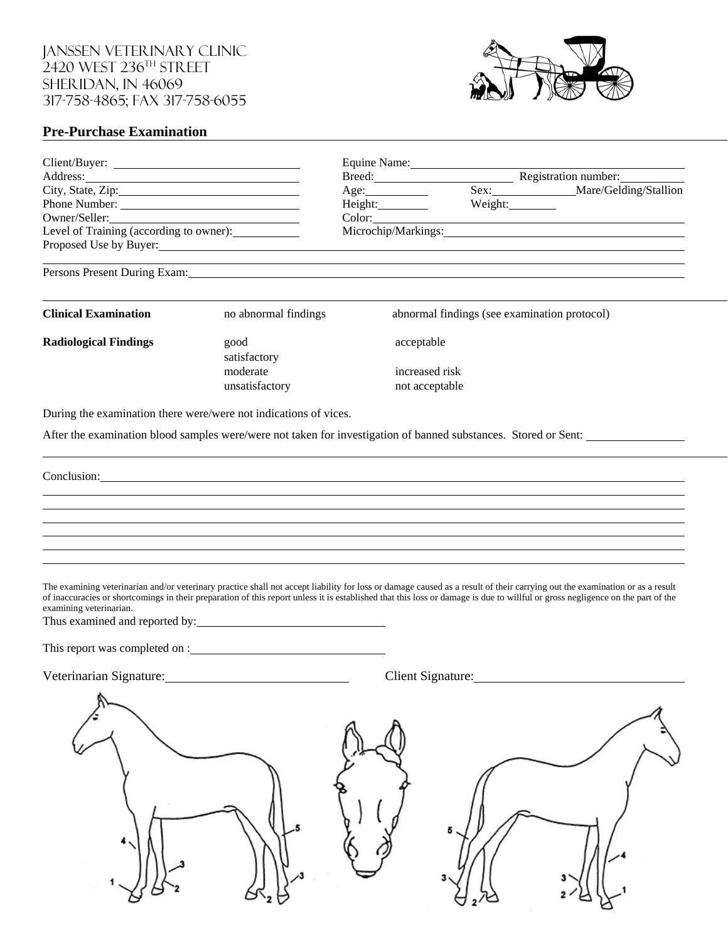Janssen Veterinary Clinic 2420 WEST 236 $^{\text{\tiny{\textsf{TH}}}}$  STREET Sheridan, IN 46069 317-758-4865; fax 317-758-6055



## **Pre-Purchase Examination**

| Client/Buyer:                                                                                                                                                                                                                                                                                                                          |                                                                                                                                                                                                                                                                                                                                                               | Equine Name: 1988                                              |                                              |                             |  |  |
|----------------------------------------------------------------------------------------------------------------------------------------------------------------------------------------------------------------------------------------------------------------------------------------------------------------------------------------|---------------------------------------------------------------------------------------------------------------------------------------------------------------------------------------------------------------------------------------------------------------------------------------------------------------------------------------------------------------|----------------------------------------------------------------|----------------------------------------------|-----------------------------|--|--|
| Address: <u>and the contract of the contract of the contract of the contract of the contract of the contract of the contract of the contract of the contract of the contract of the contract of the contract of the contract of </u><br>City, State, Zip:<br>Phone Number:<br>Owner/Seller:<br>Level of Training (according to owner): |                                                                                                                                                                                                                                                                                                                                                               |                                                                |                                              | Breed: Registration number: |  |  |
|                                                                                                                                                                                                                                                                                                                                        |                                                                                                                                                                                                                                                                                                                                                               | Age:                                                           | Sex: Mare/Gelding/Stallion                   |                             |  |  |
|                                                                                                                                                                                                                                                                                                                                        |                                                                                                                                                                                                                                                                                                                                                               | Height:                                                        | Weight: $\qquad \qquad$                      |                             |  |  |
|                                                                                                                                                                                                                                                                                                                                        |                                                                                                                                                                                                                                                                                                                                                               | Color:<br><u> 1989 - Johann Barn, fransk politik (d. 1989)</u> |                                              |                             |  |  |
|                                                                                                                                                                                                                                                                                                                                        |                                                                                                                                                                                                                                                                                                                                                               |                                                                |                                              |                             |  |  |
|                                                                                                                                                                                                                                                                                                                                        | Proposed Use by Buyer: 1988 Contract to the Second Second Second Second Second Second Second Second Second Second Second Second Second Second Second Second Second Second Second Second Second Second Second Second Second Sec                                                                                                                                |                                                                |                                              |                             |  |  |
|                                                                                                                                                                                                                                                                                                                                        | <u> 1989 - Andrea Andrew Maria (h. 1989).</u><br>Persons Present During Exam: Manual Accords and Accords and Accords and Accords Present During Exam:                                                                                                                                                                                                         |                                                                |                                              |                             |  |  |
| <b>Clinical Examination</b>                                                                                                                                                                                                                                                                                                            | no abnormal findings                                                                                                                                                                                                                                                                                                                                          |                                                                | abnormal findings (see examination protocol) |                             |  |  |
| <b>Radiological Findings</b>                                                                                                                                                                                                                                                                                                           | good<br>satisfactory                                                                                                                                                                                                                                                                                                                                          | acceptable                                                     |                                              |                             |  |  |
|                                                                                                                                                                                                                                                                                                                                        | moderate                                                                                                                                                                                                                                                                                                                                                      |                                                                | increased risk                               |                             |  |  |
|                                                                                                                                                                                                                                                                                                                                        | unsatisfactory                                                                                                                                                                                                                                                                                                                                                |                                                                | not acceptable                               |                             |  |  |
|                                                                                                                                                                                                                                                                                                                                        |                                                                                                                                                                                                                                                                                                                                                               |                                                                |                                              |                             |  |  |
|                                                                                                                                                                                                                                                                                                                                        | During the examination there were/were not indications of vices.                                                                                                                                                                                                                                                                                              |                                                                |                                              |                             |  |  |
|                                                                                                                                                                                                                                                                                                                                        | After the examination blood samples were/were not taken for investigation of banned substances. Stored or Sent:                                                                                                                                                                                                                                               |                                                                |                                              |                             |  |  |
|                                                                                                                                                                                                                                                                                                                                        |                                                                                                                                                                                                                                                                                                                                                               |                                                                |                                              |                             |  |  |
|                                                                                                                                                                                                                                                                                                                                        | Conclusion:                                                                                                                                                                                                                                                                                                                                                   |                                                                |                                              |                             |  |  |
|                                                                                                                                                                                                                                                                                                                                        |                                                                                                                                                                                                                                                                                                                                                               |                                                                |                                              |                             |  |  |
|                                                                                                                                                                                                                                                                                                                                        |                                                                                                                                                                                                                                                                                                                                                               |                                                                |                                              |                             |  |  |
|                                                                                                                                                                                                                                                                                                                                        | ,我们也不会有什么?""我们的人,我们也不会有什么?""我们的人,我们也不会有什么?""我们的人,我们也不会有什么?""我们的人,我们也不会有什么?""我们的人                                                                                                                                                                                                                                                                              |                                                                |                                              |                             |  |  |
|                                                                                                                                                                                                                                                                                                                                        | ,我们也不会有什么。""我们的人,我们也不会有什么?""我们的人,我们也不会有什么?""我们的人,我们也不会有什么?""我们的人,我们也不会有什么?""我们的人                                                                                                                                                                                                                                                                              |                                                                |                                              |                             |  |  |
|                                                                                                                                                                                                                                                                                                                                        |                                                                                                                                                                                                                                                                                                                                                               |                                                                |                                              |                             |  |  |
| examining veterinarian.                                                                                                                                                                                                                                                                                                                | The examining veterinarian and/or veterinary practice shall not accept liability for loss or damage caused as a result of their carrying out the examination or as a result<br>of inaccuracies or shortcomings in their preparation of this report unless it is established that this loss or damage is due to willful or gross negligence on the part of the |                                                                |                                              |                             |  |  |
|                                                                                                                                                                                                                                                                                                                                        |                                                                                                                                                                                                                                                                                                                                                               |                                                                |                                              |                             |  |  |
|                                                                                                                                                                                                                                                                                                                                        | Veterinarian Signature:                                                                                                                                                                                                                                                                                                                                       |                                                                | Client Signature:                            |                             |  |  |
|                                                                                                                                                                                                                                                                                                                                        |                                                                                                                                                                                                                                                                                                                                                               |                                                                |                                              |                             |  |  |